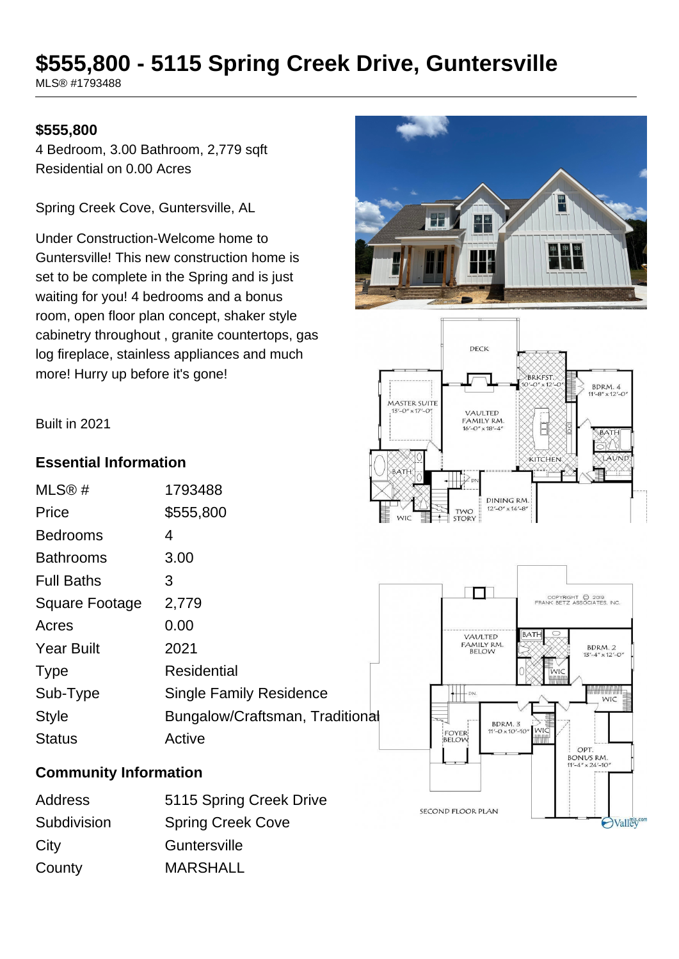# **\$555,800 - 5115 Spring Creek Drive, Guntersville**

MLS® #1793488

#### **\$555,800**

4 Bedroom, 3.00 Bathroom, 2,779 sqft Residential on 0.00 Acres

Spring Creek Cove, Guntersville, AL

Under Construction-Welcome home to Guntersville! This new construction home is set to be complete in the Spring and is just waiting for you! 4 bedrooms and a bonus room, open floor plan concept, shaker style cabinetry throughout , granite countertops, gas log fireplace, stainless appliances and much more! Hurry up before it's gone!





Built in 2021

#### **Essential Information**

| MLS@#             | 1793488                         |
|-------------------|---------------------------------|
| Price             | \$555,800                       |
| <b>Bedrooms</b>   | 4                               |
| <b>Bathrooms</b>  | 3.00                            |
| <b>Full Baths</b> | З                               |
| Square Footage    | 2,779                           |
| Acres             | 0.00                            |
| <b>Year Built</b> | 2021                            |
| <b>Type</b>       | <b>Residential</b>              |
| Sub-Type          | <b>Single Family Residence</b>  |
| <b>Style</b>      | Bungalow/Craftsman, Traditional |
| <b>Status</b>     | Active                          |

#### **Community Information**

| Address     | 5115 Spring Creek Drive  |
|-------------|--------------------------|
| Subdivision | <b>Spring Creek Cove</b> |
| City        | Guntersville             |
| County      | <b>MARSHALL</b>          |